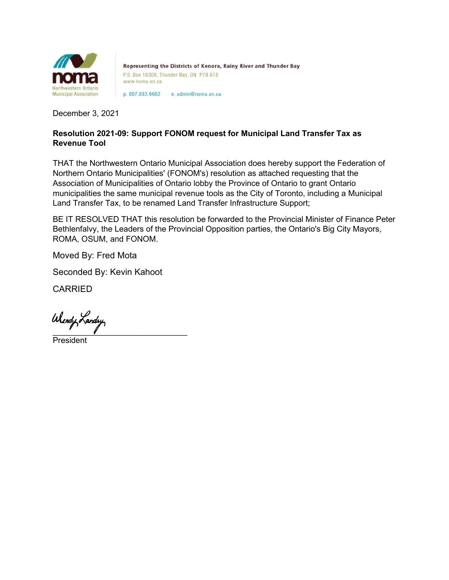

Representing the Districts of Kenora, Rainy River and Thunder Bay P.O. Box 10308, Thunder Bay, ON P7B 6T8 www.noma.on.ca

p. 807.683.6662 e. admin@noma.on.ca

December 3, 2021

## **Resolution 2021-09: Support FONOM request for Municipal Land Transfer Tax as Revenue Tool**

THAT the Northwestern Ontario Municipal Association does hereby support the Federation of Northern Ontario Municipalities' (FONOM's) resolution as attached requesting that the Association of Municipalities of Ontario lobby the Province of Ontario to grant Ontario municipalities the same municipal revenue tools as the City of Toronto, including a Municipal Land Transfer Tax, to be renamed Land Transfer Infrastructure Support;

BE IT RESOLVED THAT this resolution be forwarded to the Provincial Minister of Finance Peter Bethlenfalvy, the Leaders of the Provincial Opposition parties, the Ontario's Big City Mayors, ROMA, OSUM, and FONOM.

Moved By: Fred Mota

Seconded By: Kevin Kahoot

CARRIED

Wiendy Landry

President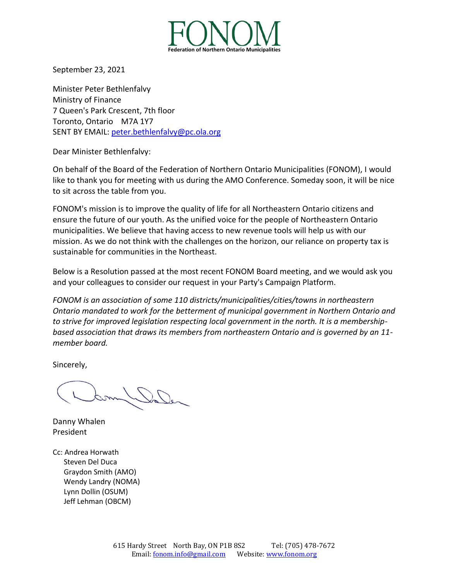

September 23, 2021

Minister Peter Bethlenfalvy Ministry of Finance 7 Queen's Park Crescent, 7th floor Toronto, Ontario M7A 1Y7 SENT BY EMAIL: [peter.bethlenfalvy@pc.ola.org](mailto:peter.bethlenfalvy@pc.ola.org)

Dear Minister Bethlenfalvy:

On behalf of the Board of the Federation of Northern Ontario Municipalities (FONOM), I would like to thank you for meeting with us during the AMO Conference. Someday soon, it will be nice to sit across the table from you.

FONOM's mission is to improve the quality of life for all Northeastern Ontario citizens and ensure the future of our youth. As the unified voice for the people of Northeastern Ontario municipalities. We believe that having access to new revenue tools will help us with our mission. As we do not think with the challenges on the horizon, our reliance on property tax is sustainable for communities in the Northeast.

Below is a Resolution passed at the most recent FONOM Board meeting, and we would ask you and your colleagues to consider our request in your Party's Campaign Platform.

*FONOM is an association of some 110 districts/municipalities/cities/towns in northeastern Ontario mandated to work for the betterment of municipal government in Northern Ontario and to strive for improved legislation respecting local government in the north. It is a membershipbased association that draws its members from northeastern Ontario and is governed by an 11 member board.*

Sincerely,

Danny Whalen President

Cc: Andrea Horwath Steven Del Duca Graydon Smith (AMO) Wendy Landry (NOMA) Lynn Dollin (OSUM) Jeff Lehman (OBCM)